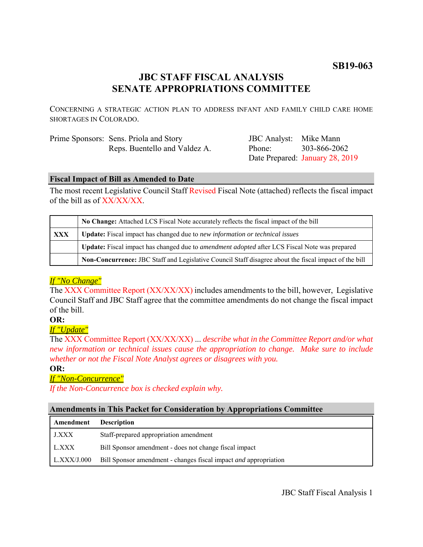# **SB19-063**

# **JBC STAFF FISCAL ANALYSIS SENATE APPROPRIATIONS COMMITTEE**

CONCERNING A STRATEGIC ACTION PLAN TO ADDRESS INFANT AND FAMILY CHILD CARE HOME SHORTAGES IN COLORADO.

| Prime Sponsors: Sens. Priola and Story |
|----------------------------------------|
| Reps. Buentello and Valdez A.          |

JBC Analyst: Mike Mann Phone: Date Prepared: January 28, 2019 303-866-2062

### **Fiscal Impact of Bill as Amended to Date**

The most recent Legislative Council Staff Revised Fiscal Note (attached) reflects the fiscal impact of the bill as of XX/XX/XX.

|            | No Change: Attached LCS Fiscal Note accurately reflects the fiscal impact of the bill                 |  |
|------------|-------------------------------------------------------------------------------------------------------|--|
| <b>XXX</b> | <b>Update:</b> Fiscal impact has changed due to new information or technical issues                   |  |
|            | Update: Fiscal impact has changed due to <i>amendment adopted</i> after LCS Fiscal Note was prepared  |  |
|            | Non-Concurrence: JBC Staff and Legislative Council Staff disagree about the fiscal impact of the bill |  |

### *If "No Change"*

The XXX Committee Report (XX/XX/XX) includes amendments to the bill, however, Legislative Council Staff and JBC Staff agree that the committee amendments do not change the fiscal impact of the bill.

### **OR:**

*If "Update"*

The XXX Committee Report (XX/XX/XX) ... *describe what in the Committee Report and/or what new information or technical issues cause the appropriation to change. Make sure to include whether or not the Fiscal Note Analyst agrees or disagrees with you.*

#### **OR:**

### *If "Non-Concurrence"*

*If the Non-Concurrence box is checked explain why.* 

### **Amendments in This Packet for Consideration by Appropriations Committee**

| Amendment    | <b>Description</b>                                                      |
|--------------|-------------------------------------------------------------------------|
| <b>J.XXX</b> | Staff-prepared appropriation amendment                                  |
| L.XXX        | Bill Sponsor amendment - does not change fiscal impact                  |
| L.XXX/J.000  | Bill Sponsor amendment - changes fiscal impact <i>and</i> appropriation |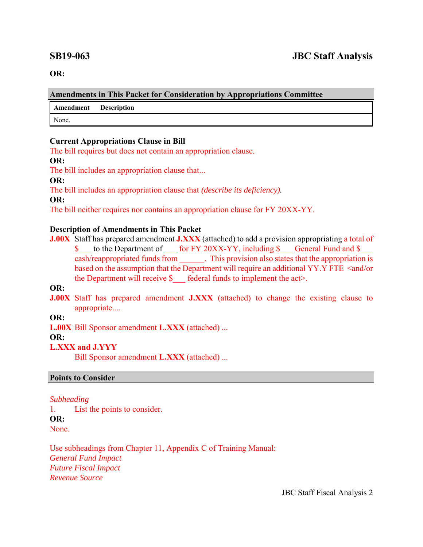**OR:**

#### **Amendments in This Packet for Consideration by Appropriations Committee**

**Amendment Description**

None.

### **Current Appropriations Clause in Bill**

The bill requires but does not contain an appropriation clause.

### **OR:**

The bill includes an appropriation clause that...

**OR:**

The bill includes an appropriation clause that *(describe its deficiency).*

**OR:**

The bill neither requires nor contains an appropriation clause for FY 20XX-YY.

## **Description of Amendments in This Packet**

**J.00X** Staff has prepared amendment **J.XXX** (attached) to add a provision appropriating a total of \$ to the Department of for FY 20XX-YY, including \$ General Fund and \$ cash/reappropriated funds from \_\_\_\_\_\_. This provision also states that the appropriation is based on the assumption that the Department will require an additional YY.Y FTE <and/or the Department will receive  $\S$  federal funds to implement the act>.

**OR:**

**J.00X** Staff has prepared amendment **J.XXX** (attached) to change the existing clause to appropriate....

**OR:**

**L.00X** Bill Sponsor amendment **L.XXX** (attached) ...

**OR:**

# **L.XXX and J.YYY**

Bill Sponsor amendment **L.XXX** (attached) ...

# **Points to Consider**

# *Subheading*

1. List the points to consider. **OR:** None.

Use subheadings from Chapter 11, Appendix C of Training Manual: *General Fund Impact Future Fiscal Impact Revenue Source* 

JBC Staff Fiscal Analysis 2